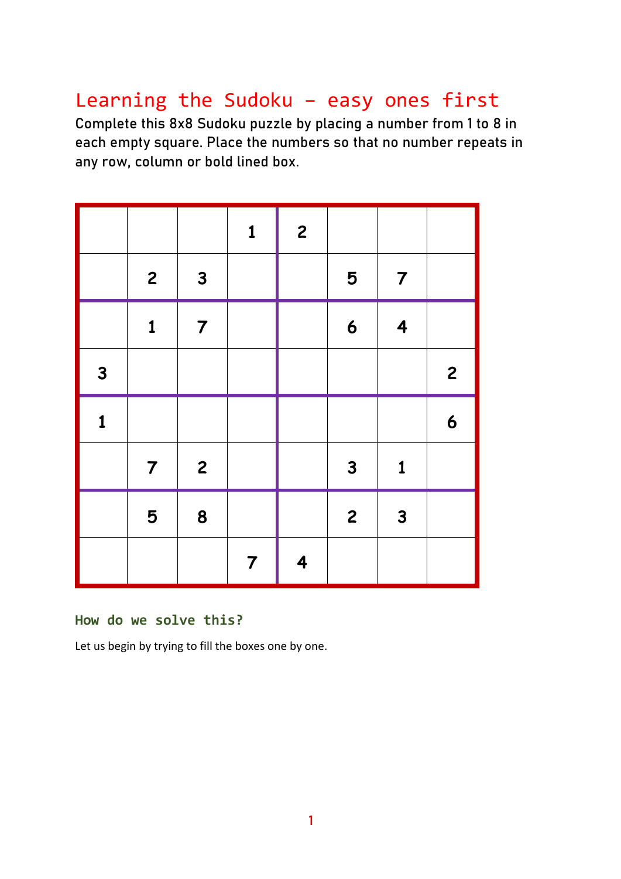# Learning the Sudoku – easy ones first

Complete this 8x8 Sudoku puzzle by placing a number from 1 to 8 in each empty square. Place the numbers so that no number repeats in any row, column or bold lined box.

|              |                |                | $\mathbf{1}$   | $\overline{\mathbf{c}}$ |                  |                         |                  |
|--------------|----------------|----------------|----------------|-------------------------|------------------|-------------------------|------------------|
|              | $\overline{c}$ | $\mathbf{3}$   |                |                         | 5                | $\overline{7}$          |                  |
|              | $\mathbf{1}$   | $\overline{7}$ |                |                         | $\boldsymbol{6}$ | $\overline{\mathbf{4}}$ |                  |
| $\mathbf{3}$ |                |                |                |                         |                  |                         | $\overline{c}$   |
| $\mathbf{1}$ |                |                |                |                         |                  |                         | $\boldsymbol{6}$ |
|              | $\overline{7}$ | $\overline{c}$ |                |                         | $\mathbf{3}$     | $\mathbf{1}$            |                  |
|              | 5              | 8              |                |                         | $\overline{c}$   | $\mathbf{3}$            |                  |
|              |                |                | $\overline{7}$ | $\overline{\mathbf{4}}$ |                  |                         |                  |

#### **How do we solve this?**

Let us begin by trying to fill the boxes one by one.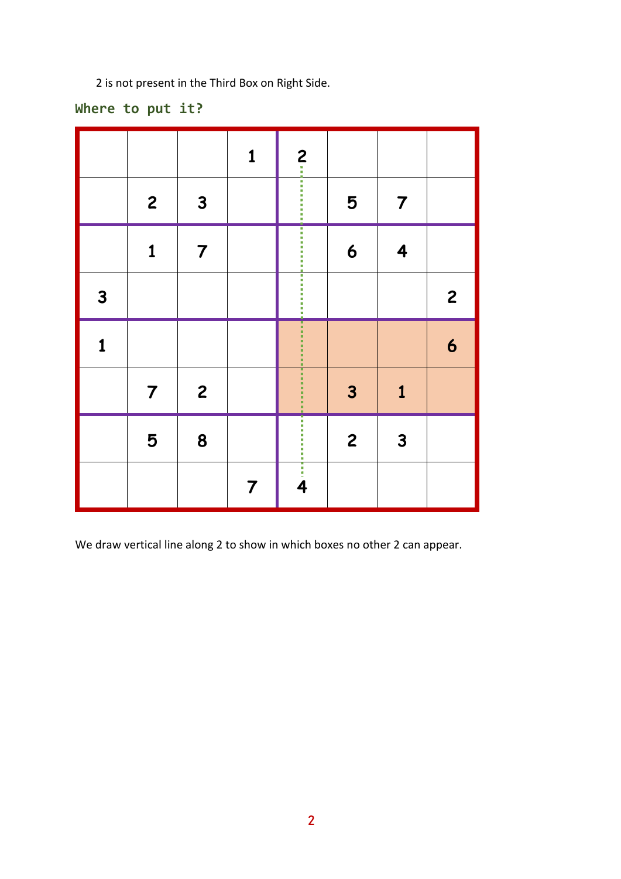2 is not present in the Third Box on Right Side.

# **Where to put it?**

|              |                |                | $\mathbf{1}$   |   |                         |                |                  |
|--------------|----------------|----------------|----------------|---|-------------------------|----------------|------------------|
|              | $\mathbf{2}$   | $\mathbf{3}$   |                | 2 | 5                       | $\overline{7}$ |                  |
|              | $\mathbf 1$    | $\overline{7}$ |                |   | 6                       | 4              |                  |
| $\mathbf{3}$ |                |                |                |   |                         |                | $\overline{c}$   |
| 1            |                |                |                |   |                         |                | $\boldsymbol{6}$ |
|              | $\overline{7}$ | $\overline{c}$ |                |   | $\overline{\mathbf{3}}$ | $\mathbf{1}$   |                  |
|              | 5              | 8              |                |   | $\overline{\mathbf{c}}$ | $\mathbf{3}$   |                  |
|              |                |                | $\overline{7}$ |   |                         |                |                  |

We draw vertical line along 2 to show in which boxes no other 2 can appear.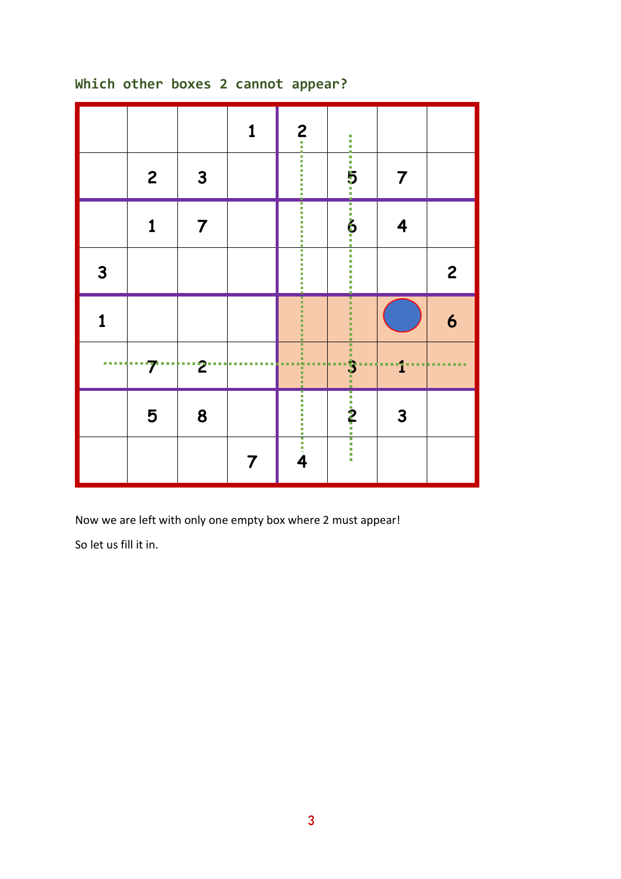# **1 2 2 3 5 7 1 7 6 4 3 2 1 6**  $\begin{array}{c} \bullet \hspace{1.6mm} \bullet \hspace{1.6mm} \bullet \hspace{1.6mm} \bullet \hspace{1.6mm} \bullet \hspace{1.6mm} \bullet \end{array}$ **7 2 3 1 5 8 2 3**  $\frac{1}{2}$ Ī **7 4**

# **Which other boxes 2 cannot appear?**

Now we are left with only one empty box where 2 must appear!

So let us fill it in.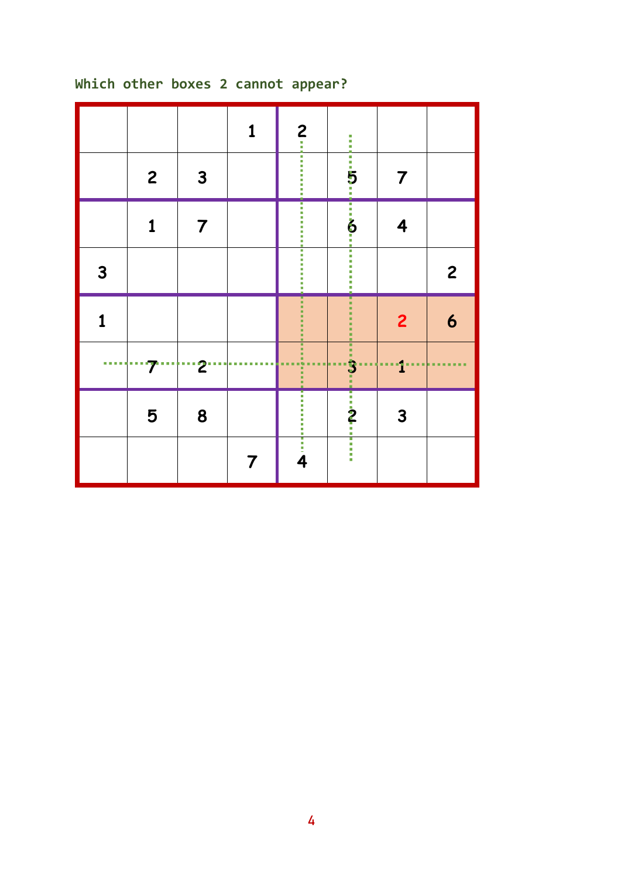# **2 3 5 7 7 6 4** Ī **2 2 6 2 3 1**  $\sim 0.00$  **8 2 3 4**

# **Which other boxes 2 cannot appear?**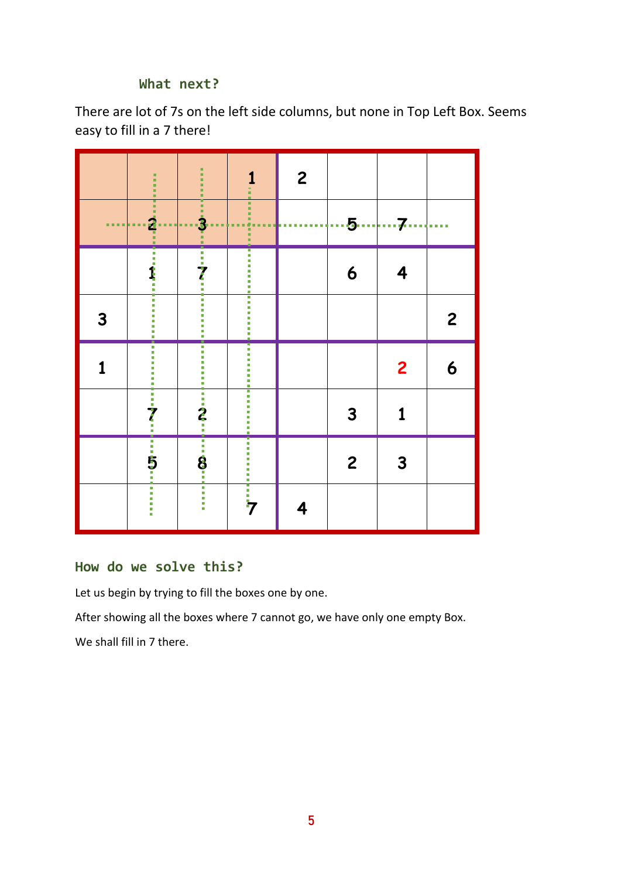### **What next?**

There are lot of 7s on the left side columns, but none in Top Left Box. Seems easy to fill in a 7 there!

|                            | $\frac{1}{2}$                           | i<br>٠<br>٠                         | 1<br>ä                      | $\mathbf{2}$     |                |                |                |
|----------------------------|-----------------------------------------|-------------------------------------|-----------------------------|------------------|----------------|----------------|----------------|
| <b><i><u>BARBA</u></i></b> | -- 12<br>--<br>٠<br>a a<br>. .<br>٠     | Π<br><br>- ئۇ <mark>ب</mark><br>a a | i<br>I<br>■■<br>г<br>п<br>п | <br>a.<br>ш<br>п |                | 5 7            |                |
|                            | $-1$ , $+1$ , $-1$ , $-1$ , $-1$ , $-1$ | $\frac{1}{\sqrt{2}}$                | ,,,,,,,,,,,,,,,,            |                  | 6              | 4              |                |
| 3                          | n<br>İ                                  | Е                                   |                             |                  |                |                | $\overline{c}$ |
|                            | İ<br>T,<br>Ì,<br>Ì.<br>×                | п<br>,,,,,,,,,                      | <b>The company</b>          |                  |                | $\overline{2}$ | 6              |
|                            |                                         |                                     | ,,,,,,,,,,,,,,,,,,,         |                  | 3              | 1              |                |
|                            | : 7: 5:                                 | $-2.1$ $-3.3$                       |                             |                  | $\overline{c}$ | 3              |                |
|                            |                                         | 一番 三番 一番                            | <br>7                       | 4                |                |                |                |

### **How do we solve this?**

Let us begin by trying to fill the boxes one by one.

After showing all the boxes where 7 cannot go, we have only one empty Box.

We shall fill in 7 there.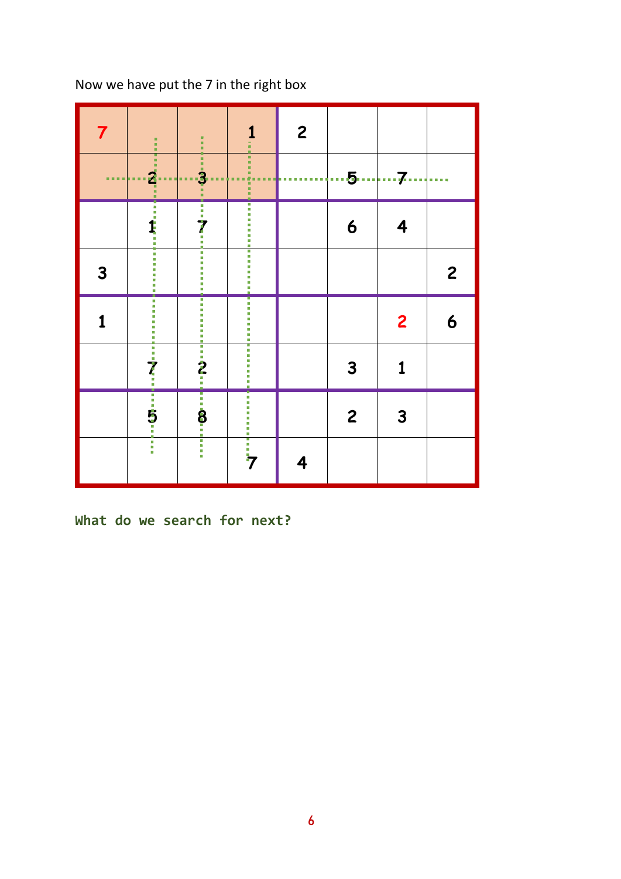| $\overline{7}$ | ă,<br>a.                                          | i                                            | 1<br>Ì                       | $\overline{\mathbf{c}}$ |                |                     |                                  |
|----------------|---------------------------------------------------|----------------------------------------------|------------------------------|-------------------------|----------------|---------------------|----------------------------------|
| <b>COLOR</b>   | ш<br>$\ddot{a}$ .<br>a.<br>■■<br>٠<br>٠<br>٠<br>٠ | $\frac{1}{2}$<br><b>ALC</b><br>. .<br>٠<br>п | $\frac{1}{2}$<br>п<br>н<br>i | ٠<br>٠<br>٠<br>m<br>п   | $\cdots$ 5     | $\cdots$ 7 $\cdots$ | <b><i><u><b>BREE</b></u></i></b> |
|                |                                                   | $\overline{?}$                               |                              |                         | 6              | 4                   |                                  |
| 3              |                                                   | 一 一 一 一 一<br>I<br>٠                          |                              |                         |                |                     | $\overline{c}$                   |
| 1              |                                                   | Ù,<br>g,<br>u,<br>×.                         | ,,,,,,,,,,,,,,,,,,,          |                         |                | $\overline{c}$      | 6                                |
|                |                                                   | $\frac{1}{2}$                                |                              |                         | 3              | 1                   |                                  |
|                |                                                   | $\overline{\mathbf{8}}$                      | ī                            |                         | $\overline{c}$ | 3                   |                                  |
|                | Ī                                                 | I                                            | <br> -<br> 7                 | 4                       |                |                     |                                  |

Now we have put the 7 in the right box

**What do we search for next?**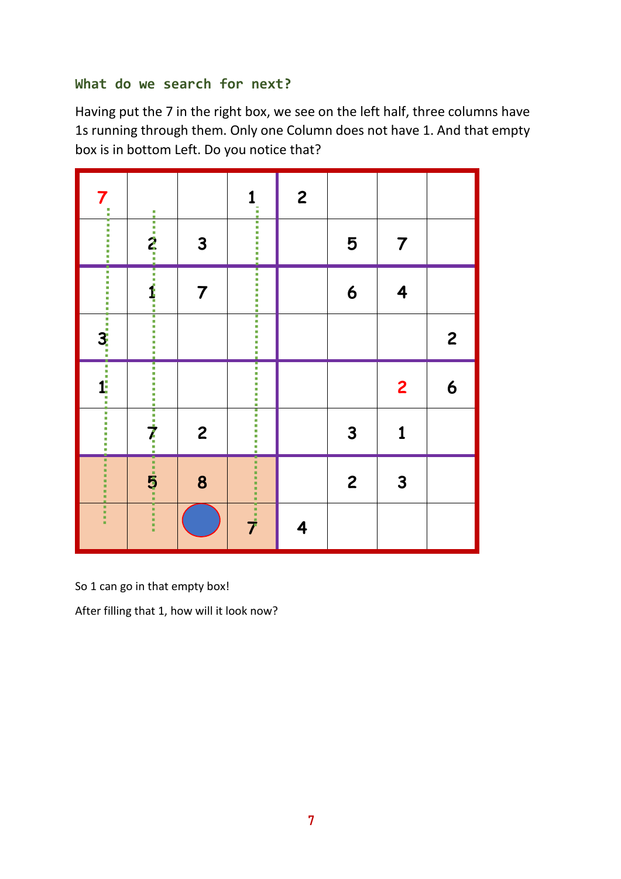# **What do we search for next?**

Having put the 7 in the right box, we see on the left half, three columns have 1s running through them. Only one Column does not have 1. And that empty box is in bottom Left. Do you notice that?

| 7                                                                     |                                                                                                               |                | 1<br>i                  | $\boldsymbol{2}$ |                |                |                         |
|-----------------------------------------------------------------------|---------------------------------------------------------------------------------------------------------------|----------------|-------------------------|------------------|----------------|----------------|-------------------------|
| ,,,,,,,,,,,,                                                          | $\frac{1}{2}$ : $\frac{1}{2}$ : $\frac{1}{2}$ : $\frac{1}{2}$ : $\frac{1}{2}$ : $\frac{1}{2}$ : $\frac{1}{2}$ | $\mathbf{3}$   |                         |                  | 5              | 7              |                         |
| -------<br>İ                                                          |                                                                                                               | 7              |                         |                  | 6              | 4              |                         |
| ٠                                                                     |                                                                                                               |                |                         |                  |                |                | $\overline{\mathbf{c}}$ |
| $\begin{array}{c}\n\vdots \\ \vdots \\ \vdots \\ \vdots\n\end{array}$ |                                                                                                               |                | .                       |                  |                | $\overline{2}$ | 6                       |
|                                                                       |                                                                                                               | $\overline{c}$ |                         |                  | 3              | 1              |                         |
| ۰                                                                     |                                                                                                               | 8              | ò.<br><b>.</b><br><br>t |                  | $\overline{c}$ | 3              |                         |
| i                                                                     |                                                                                                               |                | ゴーブ                     | 4                |                |                |                         |

So 1 can go in that empty box!

After filling that 1, how will it look now?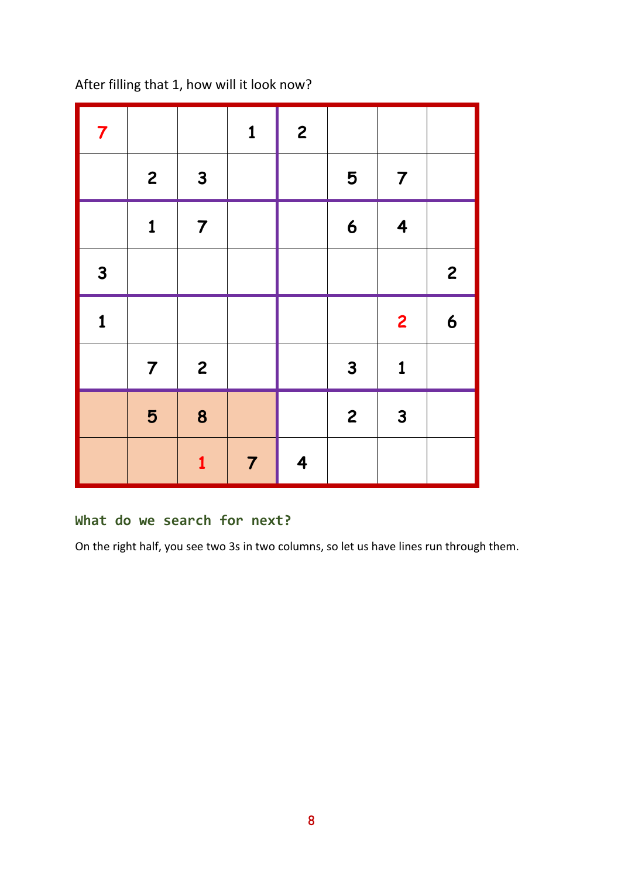After filling that 1, how will it look now?

| $\overline{\mathbf{7}}$ |                |                | $\mathbf{1}$   | $\overline{c}$          |                  |                         |                  |
|-------------------------|----------------|----------------|----------------|-------------------------|------------------|-------------------------|------------------|
|                         | $\mathbf{2}$   | $\mathbf{3}$   |                |                         | 5                | $\overline{7}$          |                  |
|                         | $\mathbf{1}$   | $\overline{7}$ |                |                         | $\boldsymbol{6}$ | $\overline{\mathbf{4}}$ |                  |
| $\mathbf{3}$            |                |                |                |                         |                  |                         | $\overline{c}$   |
| $\mathbf{1}$            |                |                |                |                         |                  | $\overline{\mathbf{c}}$ | $\boldsymbol{6}$ |
|                         | $\overline{7}$ | $\overline{c}$ |                |                         | $\mathbf{3}$     | $\mathbf{1}$            |                  |
|                         | 5              | 8              |                |                         | $\overline{c}$   | $\mathbf{3}$            |                  |
|                         |                | $\mathbf{1}$   | $\overline{7}$ | $\overline{\mathbf{4}}$ |                  |                         |                  |

# **What do we search for next?**

On the right half, you see two 3s in two columns, so let us have lines run through them.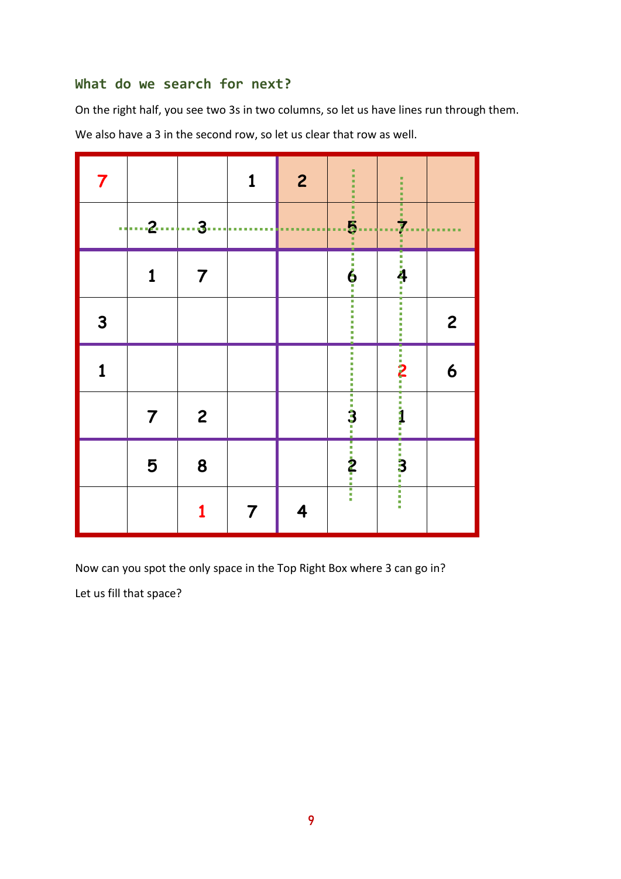#### **What do we search for next?**

On the right half, you see two 3s in two columns, so let us have lines run through them.

We also have a 3 in the second row, so let us clear that row as well.

| 7            |                 |                             | 1                  | $\overline{c}$ | ٠<br>٠<br>٠<br>٠<br>٠<br>٠                      | ٠<br>٠<br>٠<br>٠<br>٠                       |                |
|--------------|-----------------|-----------------------------|--------------------|----------------|-------------------------------------------------|---------------------------------------------|----------------|
|              | $\frac{1}{2}$ 3 |                             | . .<br>п<br>٠<br>п |                | $\frac{1}{5}$<br>a a<br>ä,                      | Ξ<br>٠<br>$\frac{1}{\mathbf{Z}}$<br>٠<br>r. | п<br>г<br>. .  |
|              | 1               | $\overline{\boldsymbol{7}}$ |                    |                | $\frac{1}{6}$                                   | $\frac{1}{4}$                               |                |
| $\mathbf{3}$ |                 |                             |                    |                | l.<br>×<br>×<br>a.<br>m,<br>×,<br>×,<br>۰       | I<br>a,<br>I.<br>i<br>I                     | $\overline{c}$ |
| 1            |                 |                             |                    |                |                                                 | $\frac{1}{2}$                               | 6              |
|              | 7               | $\overline{c}$              |                    |                |                                                 | $\ddot{a}$                                  |                |
|              | 5               | 8                           |                    |                | $\frac{1}{3}$ : $\frac{1}{2}$ : $\frac{1}{2}$ : | $\frac{1}{3}$                               |                |
|              |                 |                             | 7                  | 4              | 目目目                                             | -<br>-<br>-                                 |                |

Now can you spot the only space in the Top Right Box where 3 can go in?

Let us fill that space?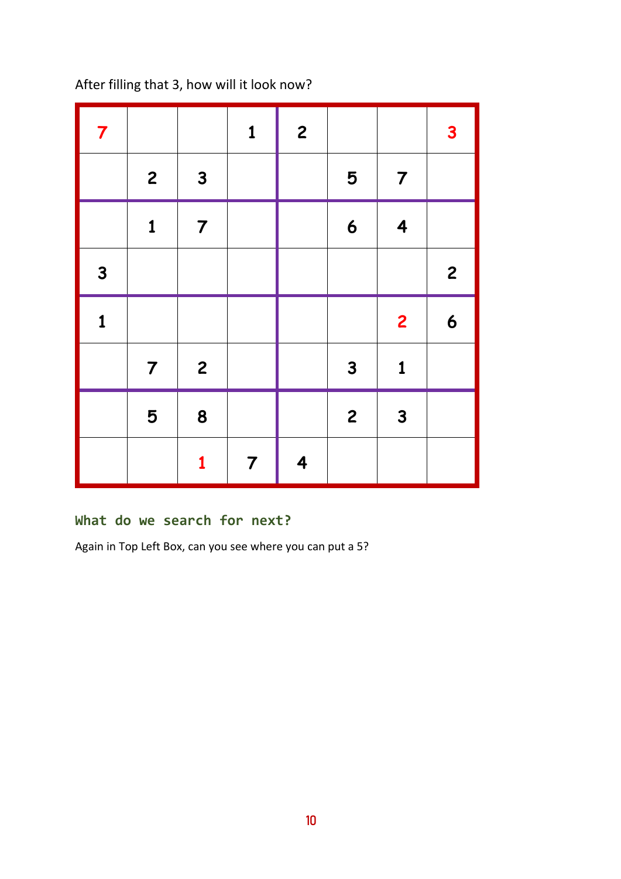After filling that 3, how will it look now?

| $\overline{\mathbf{7}}$ |                |                         | $\mathbf{1}$   | $\overline{c}$          |                  |                         | $\mathbf{3}$            |
|-------------------------|----------------|-------------------------|----------------|-------------------------|------------------|-------------------------|-------------------------|
|                         | $\mathbf{2}$   | $\mathbf{3}$            |                |                         | 5                | $\overline{7}$          |                         |
|                         | $\mathbf{1}$   | $\overline{7}$          |                |                         | $\boldsymbol{6}$ | $\overline{\mathbf{4}}$ |                         |
| $\mathbf{3}$            |                |                         |                |                         |                  |                         | $\overline{\mathbf{c}}$ |
| $\mathbf{1}$            |                |                         |                |                         |                  | $\overline{2}$          | $\boldsymbol{6}$        |
|                         | $\overline{7}$ | $\overline{\mathbf{c}}$ |                |                         | $\mathbf{3}$     | $\mathbf{1}$            |                         |
|                         | 5              | 8                       |                |                         | $\overline{c}$   | $\mathbf{3}$            |                         |
|                         |                | 1                       | $\overline{7}$ | $\overline{\mathbf{4}}$ |                  |                         |                         |

# **What do we search for next?**

Again in Top Left Box, can you see where you can put a 5?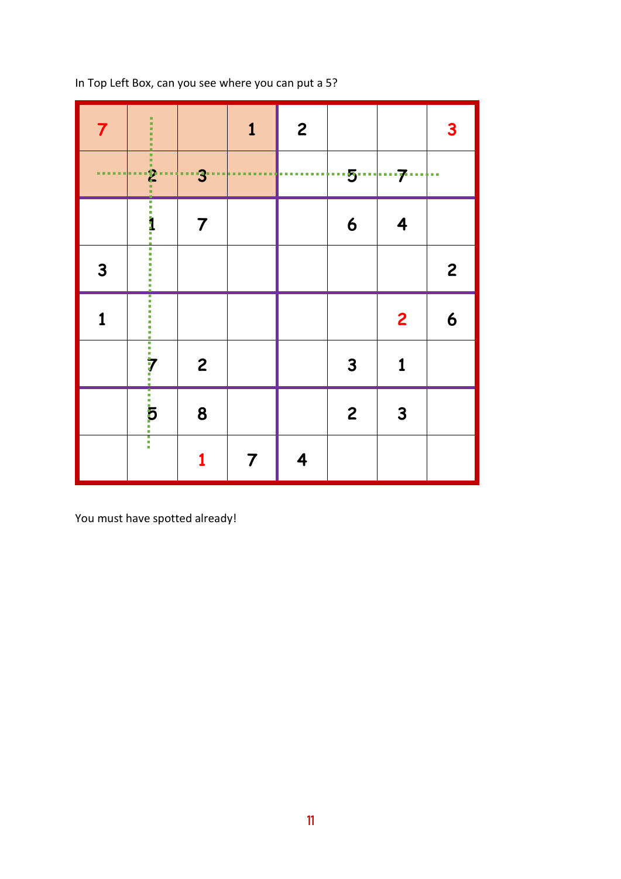| $\overline{7}$       | ٠<br>٠<br>٠<br>٠<br>٠<br>٠             |                         | $\mathbf{1}$  | $\overline{c}$ |                  |                                    | $\mathbf{3}$     |
|----------------------|----------------------------------------|-------------------------|---------------|----------------|------------------|------------------------------------|------------------|
| <b>ALC UNIT</b><br>. | $\frac{1}{2}$<br>٠<br>٠<br>۳<br>▬<br>о | ·†…3∙                   | ٠<br>٠<br>■■■ | T.             |                  | ···5···· ···· <del>7</del> ······· |                  |
|                      | $\ddot{\dot{\textbf{a}}}$              | $\overline{\mathbf{7}}$ |               |                | $\boldsymbol{6}$ | 4                                  |                  |
| $\mathbf{3}$         | --------                               |                         |               |                |                  |                                    | $\overline{c}$   |
| $\mathbf{1}$         |                                        |                         |               |                |                  | $\overline{2}$                     | $\boldsymbol{6}$ |
|                      |                                        | $\overline{c}$          |               |                | $\mathbf{3}$     | $\mathbf 1$                        |                  |
|                      | .<br>5<br>:                            | 8                       |               |                | $\mathbf{2}$     | $\mathbf{3}$                       |                  |
|                      | I                                      |                         | 7             | 4              |                  |                                    |                  |

In Top Left Box, can you see where you can put a 5?

You must have spotted already!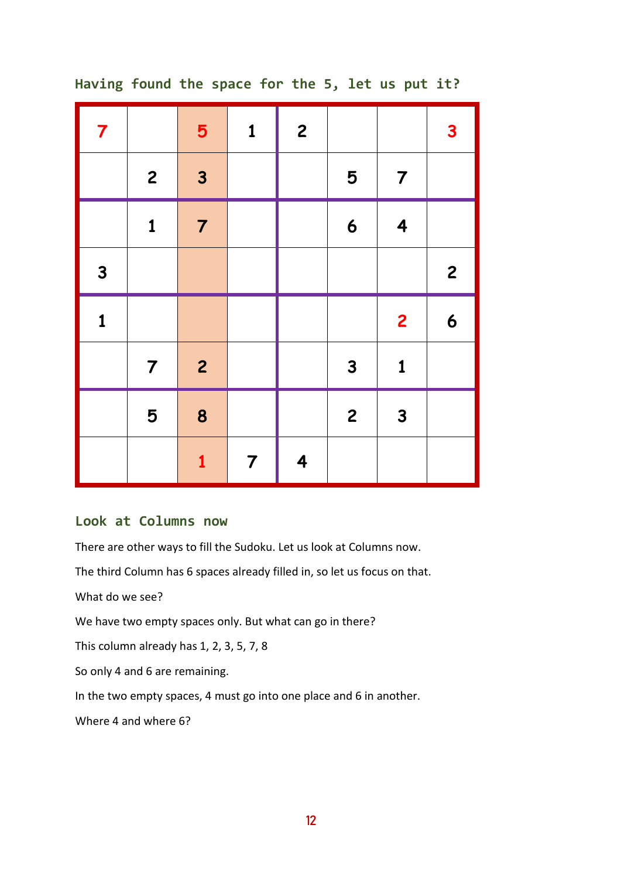| $\overline{7}$ |                | 5              | $\mathbf{1}$   | $\overline{c}$          |                  |                         | $\overline{\mathbf{3}}$ |
|----------------|----------------|----------------|----------------|-------------------------|------------------|-------------------------|-------------------------|
|                | $\mathbf{2}$   | $\mathbf{3}$   |                |                         | 5                | $\overline{7}$          |                         |
|                | $\mathbf{1}$   | $\overline{7}$ |                |                         | $\boldsymbol{6}$ | $\overline{\mathbf{4}}$ |                         |
| $\mathbf{3}$   |                |                |                |                         |                  |                         | $\overline{\mathbf{c}}$ |
| $\mathbf{1}$   |                |                |                |                         |                  | $\overline{\mathbf{c}}$ | $\boldsymbol{6}$        |
|                | $\overline{7}$ | $\overline{c}$ |                |                         | $\mathbf{3}$     | $\mathbf{1}$            |                         |
|                | 5              | 8              |                |                         | $\overline{c}$   | $\mathbf{3}$            |                         |
|                |                | $\mathbf{1}$   | $\overline{7}$ | $\overline{\mathbf{4}}$ |                  |                         |                         |

#### **Having found the space for the 5, let us put it?**

#### **Look at Columns now**

There are other ways to fill the Sudoku. Let us look at Columns now.

The third Column has 6 spaces already filled in, so let us focus on that.

What do we see?

We have two empty spaces only. But what can go in there?

This column already has 1, 2, 3, 5, 7, 8

So only 4 and 6 are remaining.

In the two empty spaces, 4 must go into one place and 6 in another.

Where 4 and where 6?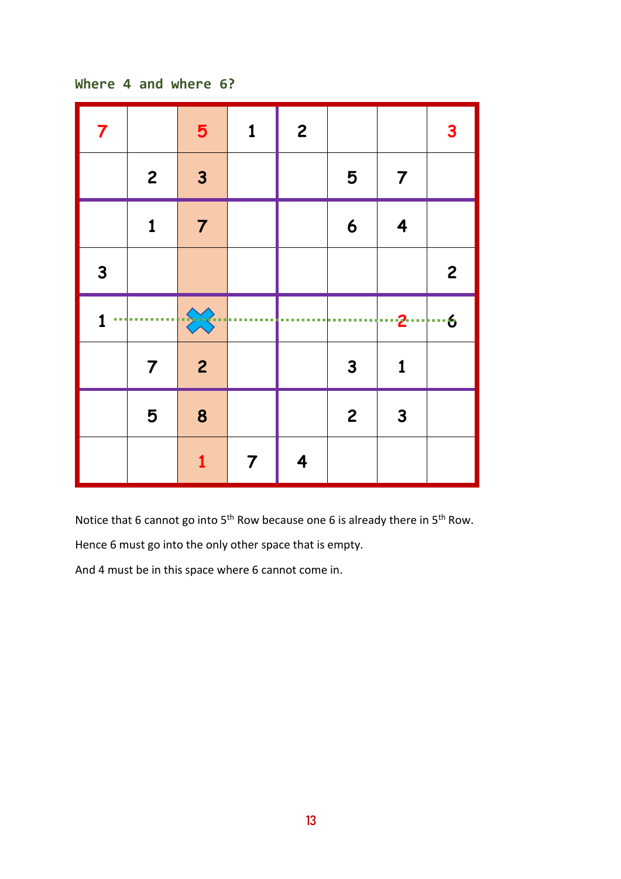```
Where 4 and where 6?
```

| $\overline{\boldsymbol{7}}$ |                | $5\phantom{1}$   | $\mathbf{1}$ | $\overline{c}$ |                  |                         | 3              |
|-----------------------------|----------------|------------------|--------------|----------------|------------------|-------------------------|----------------|
|                             | $\overline{c}$ | $\mathbf{3}$     |              |                | 5                | $\overline{\mathbf{7}}$ |                |
|                             | $\mathbf 1$    | $\overline{7}$   |              |                | $\boldsymbol{6}$ | $\overline{\mathbf{4}}$ |                |
| $\mathbf{3}$                |                |                  |              |                |                  |                         | $\overline{c}$ |
|                             |                |                  |              |                |                  |                         |                |
| a a                         |                | $\sum$           |              |                |                  | ---2---- ---6           |                |
|                             | 7              | $\overline{2}$   |              |                | $\mathbf{3}$     | 1                       |                |
|                             | 5              | $\boldsymbol{8}$ |              |                | $\overline{c}$   | $\mathbf{3}$            |                |

Notice that 6 cannot go into  $5<sup>th</sup>$  Row because one 6 is already there in  $5<sup>th</sup>$  Row.

Hence 6 must go into the only other space that is empty.

And 4 must be in this space where 6 cannot come in.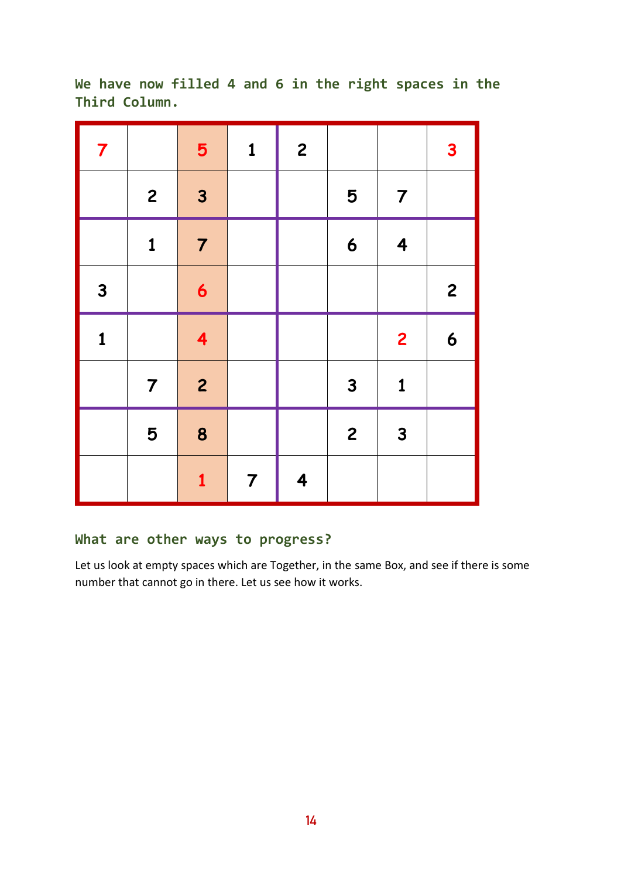**We have now filled 4 and 6 in the right spaces in the Third Column.**

| $\overline{7}$ |                | 5                       | $\mathbf{1}$   | $\overline{c}$ |                         |                         | $\mathbf{3}$            |
|----------------|----------------|-------------------------|----------------|----------------|-------------------------|-------------------------|-------------------------|
|                | $\overline{c}$ | $\overline{\mathbf{3}}$ |                |                | 5                       | $\overline{7}$          |                         |
|                | $\mathbf{1}$   | $\overline{7}$          |                |                | $\boldsymbol{6}$        | $\overline{\mathbf{4}}$ |                         |
| $\mathbf{3}$   |                | $\boldsymbol{6}$        |                |                |                         |                         | $\overline{\mathbf{c}}$ |
| $\mathbf{1}$   |                | $\overline{\mathbf{4}}$ |                |                |                         | $\overline{\mathbf{c}}$ | $\boldsymbol{6}$        |
|                | $\overline{7}$ | $\overline{c}$          |                |                | $\mathbf{3}$            | $\mathbf{1}$            |                         |
|                | 5              | 8                       |                |                | $\overline{\mathbf{c}}$ | $\overline{\mathbf{3}}$ |                         |
|                |                | $\mathbf{1}$            | $\overline{7}$ | 4              |                         |                         |                         |

# **What are other ways to progress?**

Let us look at empty spaces which are Together, in the same Box, and see if there is some number that cannot go in there. Let us see how it works.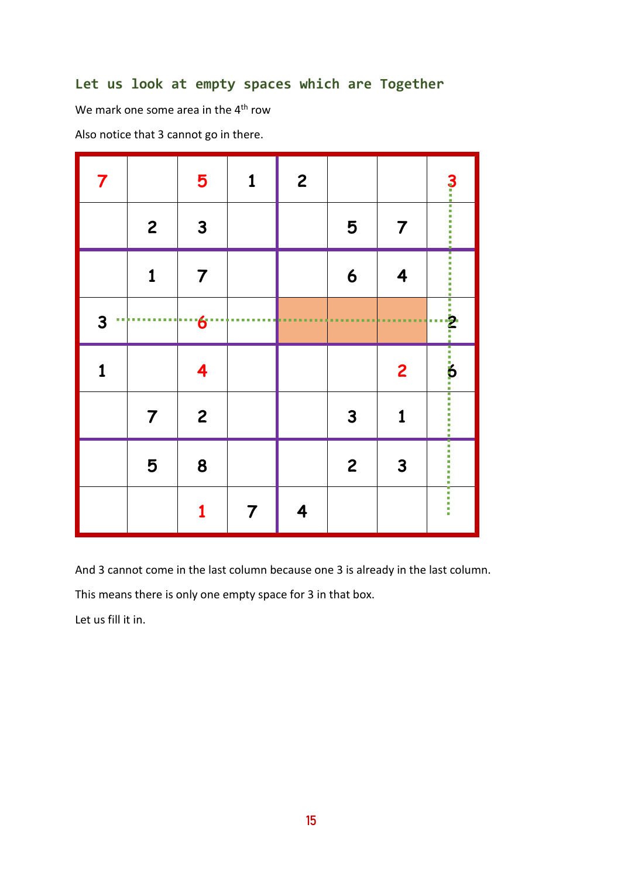# **Let us look at empty spaces which are Together**

We mark one some area in the 4<sup>th</sup> row

Also notice that 3 cannot go in there.

| $\overline{\mathbf{7}}$ |                                      | 5                     | 1              | $\boldsymbol{2}$ |                |                |                                                             |
|-------------------------|--------------------------------------|-----------------------|----------------|------------------|----------------|----------------|-------------------------------------------------------------|
|                         | $\overline{c}$                       | $\mathbf{3}$          |                |                  | 5              | 7              | 3<br>-----------                                            |
|                         | $\mathbf 1$                          | $\overline{7}$        |                |                  | 6              | 4              | .                                                           |
| 3<br>u.                 | ш<br>٠<br>m<br>г<br>г<br>п<br>п<br>ш | $6 -$<br>ш<br>u,<br>ш | ш<br>п         | ٠                | ٠<br>п         |                | $\begin{array}{c}\n\vdots \\ \vdots \\ \vdots\n\end{array}$ |
| 1                       |                                      | 4                     |                |                  |                | $\overline{2}$ |                                                             |
|                         | $\overline{7}$                       | $\overline{c}$        |                |                  | 3              | 1              |                                                             |
|                         | 5                                    | 8                     |                |                  | $\overline{c}$ | $\mathbf{3}$   |                                                             |
|                         |                                      | 1                     | $\overline{7}$ | 4                |                |                | i<br>I                                                      |

And 3 cannot come in the last column because one 3 is already in the last column.

This means there is only one empty space for 3 in that box.

Let us fill it in.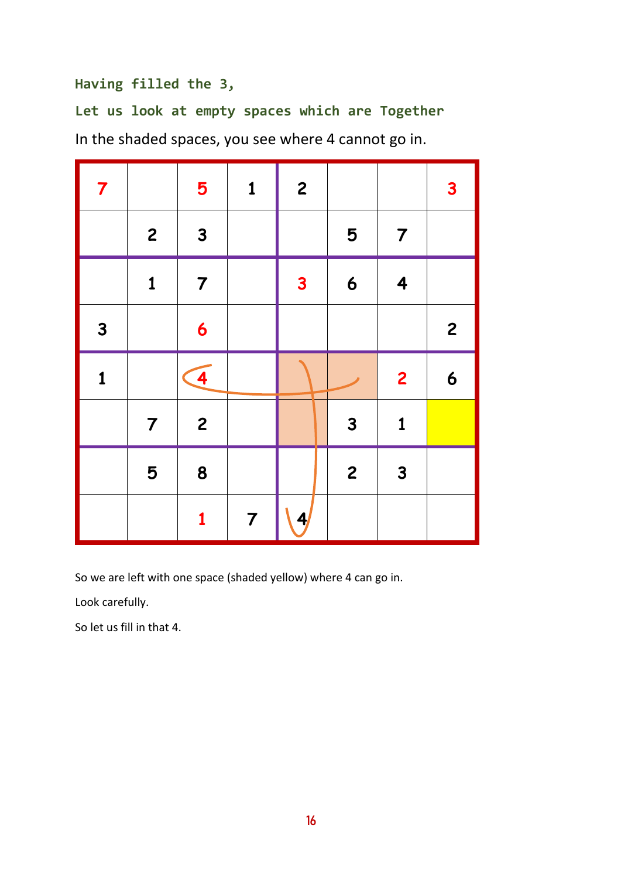## **Having filled the 3,**

**Let us look at empty spaces which are Together** In the shaded spaces, you see where 4 cannot go in.

| $\overline{7}$ |                | 5              | $\mathbf{1}$ | $\overline{c}$ |                  |                         | $\overline{\mathbf{3}}$ |
|----------------|----------------|----------------|--------------|----------------|------------------|-------------------------|-------------------------|
|                | $\overline{c}$ | $\mathbf{3}$   |              |                | 5                | $\overline{7}$          |                         |
|                | $\mathbf{1}$   | $\overline{7}$ |              | $\mathbf{3}$   | $\boldsymbol{6}$ | $\overline{\mathbf{4}}$ |                         |
| $\mathbf{3}$   |                | $\overline{6}$ |              |                |                  |                         | $\overline{c}$          |
|                |                |                |              |                |                  |                         |                         |
| $\mathbf{1}$   |                | $\overline{4}$ |              |                |                  | $\overline{2}$          | 6                       |
|                | $\overline{7}$ | $\overline{c}$ |              |                | $\mathbf{3}$     | $\mathbf{1}$            |                         |
|                | 5              | 8              |              |                | $\overline{c}$   | $\overline{\mathbf{3}}$ |                         |

So we are left with one space (shaded yellow) where 4 can go in.

Look carefully.

So let us fill in that 4.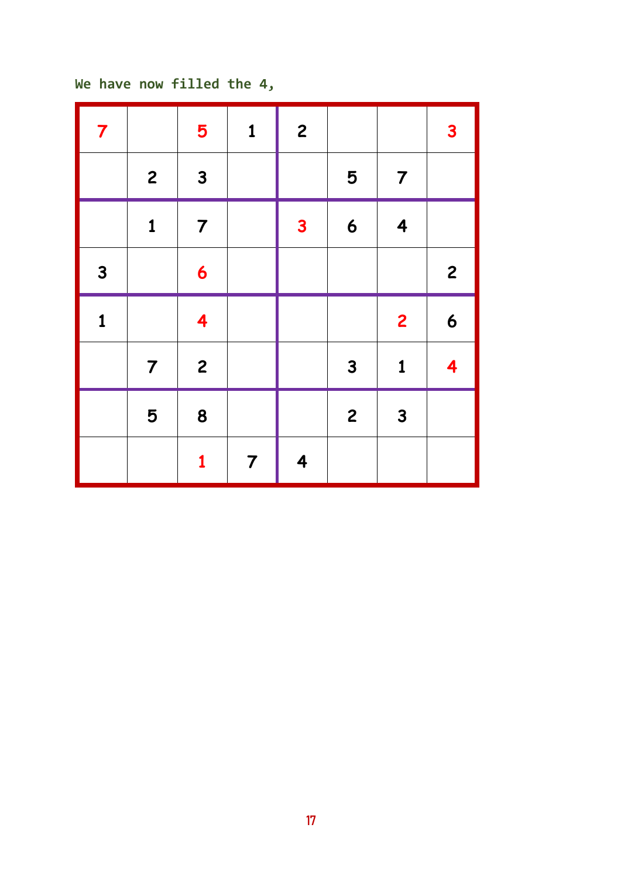```
We have now filled the 4,
```

| $\overline{7}$ |                | 5                       | $\mathbf{1}$   | $\overline{\mathbf{c}}$ |                         |                         | $\mathbf{3}$            |
|----------------|----------------|-------------------------|----------------|-------------------------|-------------------------|-------------------------|-------------------------|
|                | $\mathbf{2}$   | $\mathbf{3}$            |                |                         | 5                       | $\overline{7}$          |                         |
|                | $\mathbf{1}$   | $\overline{7}$          |                | $\mathbf{3}$            | $\boldsymbol{6}$        | $\overline{\mathbf{4}}$ |                         |
| $\mathbf{3}$   |                | 6                       |                |                         |                         |                         | $\overline{\mathbf{c}}$ |
| $\mathbf{1}$   |                | $\overline{\mathbf{4}}$ |                |                         |                         | $\overline{\mathbf{c}}$ | $\boldsymbol{6}$        |
|                | $\overline{7}$ | $\overline{\mathbf{c}}$ |                |                         | $\mathbf{3}$            | $\mathbf{1}$            | $\overline{\mathbf{4}}$ |
|                | 5              | 8                       |                |                         | $\overline{\mathbf{c}}$ | $\mathbf{3}$            |                         |
|                |                | $\mathbf{1}$            | $\overline{7}$ | $\overline{\mathbf{4}}$ |                         |                         |                         |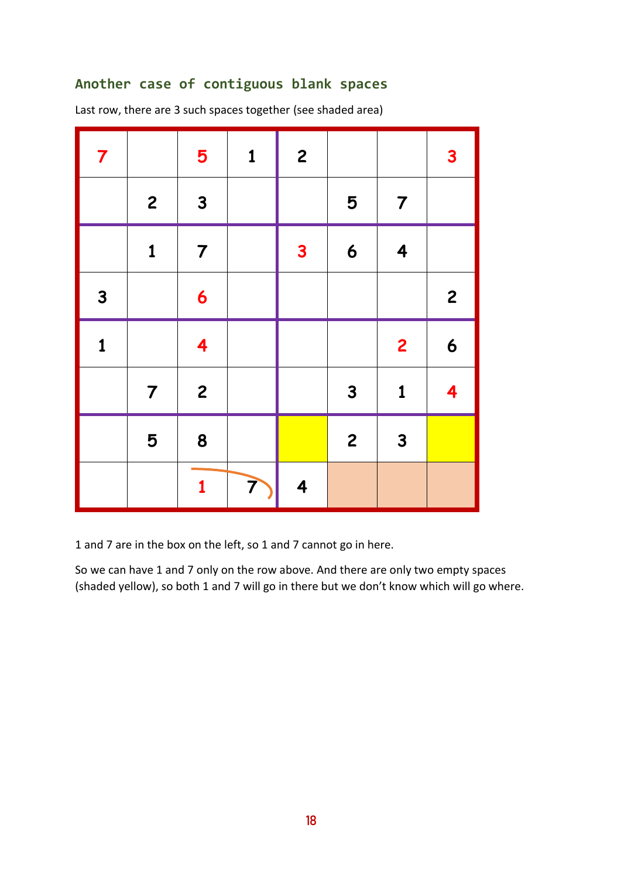### **Another case of contiguous blank spaces**

Last row, there are 3 such spaces together (see shaded area)

| $\overline{\mathbf{7}}$ |                | 5                       | $\mathbf{1}$ | $\overline{\mathbf{c}}$ |                  |                         | $\mathbf{3}$            |
|-------------------------|----------------|-------------------------|--------------|-------------------------|------------------|-------------------------|-------------------------|
|                         | $\overline{c}$ | $\overline{\mathbf{3}}$ |              |                         | 5                | $\overline{7}$          |                         |
|                         | $\mathbf{1}$   | $\overline{7}$          |              | $\mathbf{3}$            | $\boldsymbol{6}$ | $\overline{\mathbf{4}}$ |                         |
| $\mathbf{3}$            |                | $\boldsymbol{6}$        |              |                         |                  |                         | $\overline{\mathbf{c}}$ |
| $\mathbf{1}$            |                | $\overline{\mathbf{4}}$ |              |                         |                  | $\overline{\mathbf{c}}$ | $\boldsymbol{6}$        |
|                         | $\overline{7}$ | $\overline{c}$          |              |                         | $\mathbf{3}$     | $\mathbf{1}$            | $\overline{\mathbf{4}}$ |
|                         | 5              | 8                       |              |                         | $\overline{c}$   | $\overline{\mathbf{3}}$ |                         |
|                         |                | $\mathbf{1}$            | 7            | $\overline{\mathbf{4}}$ |                  |                         |                         |

1 and 7 are in the box on the left, so 1 and 7 cannot go in here.

So we can have 1 and 7 only on the row above. And there are only two empty spaces (shaded yellow), so both 1 and 7 will go in there but we don't know which will go where.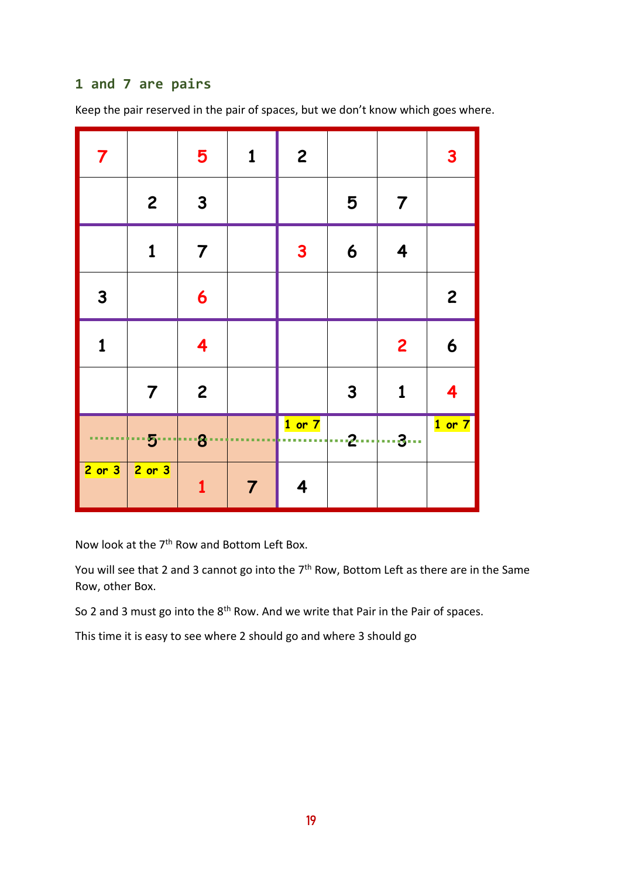## **1 and 7 are pairs**

Keep the pair reserved in the pair of spaces, but we don't know which goes where.

| $\overline{\mathbf{7}}$            |                 | $5\phantom{1}$          | $\mathbf{1}$   | $\overline{c}$          |              |                         | $\mathbf{3}$     |
|------------------------------------|-----------------|-------------------------|----------------|-------------------------|--------------|-------------------------|------------------|
|                                    | $\overline{c}$  | $\mathbf{3}$            |                |                         | 5            | $\overline{7}$          |                  |
|                                    | 1               | $\overline{\mathbf{7}}$ |                | $\mathbf{3}$            | 6            | $\overline{\mathbf{4}}$ |                  |
| $\mathbf{3}$                       |                 | $\boldsymbol{6}$        |                |                         |              |                         | $\overline{c}$   |
| $\mathbf 1$                        |                 | 4                       |                |                         |              | $\overline{c}$          | $\boldsymbol{6}$ |
|                                    | $\overline{7}$  | $\overline{c}$          |                |                         | $\mathbf{3}$ | $\mathbf{1}$            | 4                |
| <b><i><u>ALC ALC ALC A</u></i></b> | ---5---------8- | a a                     |                | $1$ or $7$              | <u>2</u> 3   |                         | $1$ or $7$       |
| $2$ or $3$                         | $2$ or $3$      | 1                       | $\overline{7}$ | $\overline{\mathbf{4}}$ |              |                         |                  |

Now look at the 7<sup>th</sup> Row and Bottom Left Box.

You will see that 2 and 3 cannot go into the 7<sup>th</sup> Row, Bottom Left as there are in the Same Row, other Box.

So 2 and 3 must go into the 8<sup>th</sup> Row. And we write that Pair in the Pair of spaces.

This time it is easy to see where 2 should go and where 3 should go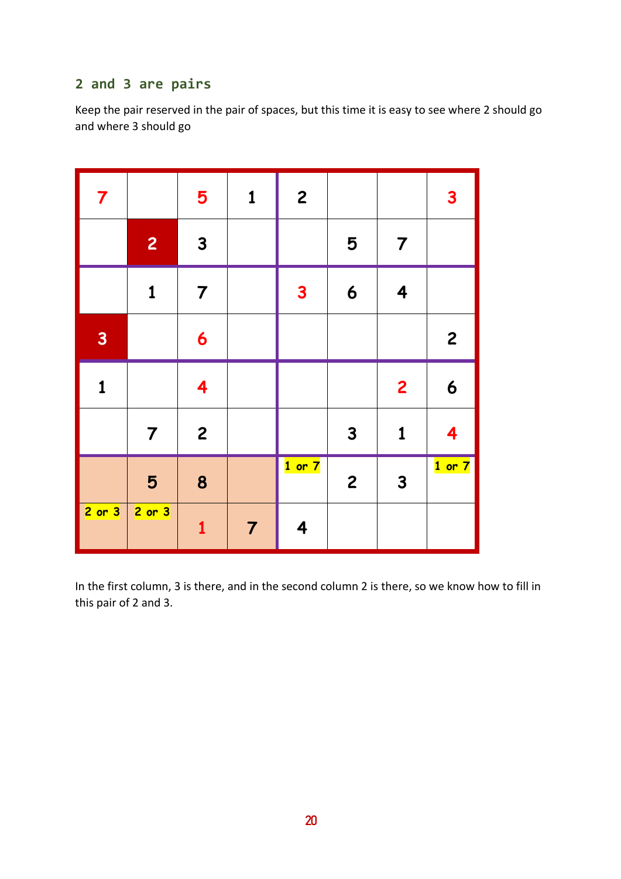# **2 and 3 are pairs**

Keep the pair reserved in the pair of spaces, but this time it is easy to see where 2 should go and where 3 should go

| $\overline{7}$          |                | 5                       | $\mathbf{1}$   | $\overline{\mathbf{c}}$ |                  |                         | $\mathbf{3}$     |
|-------------------------|----------------|-------------------------|----------------|-------------------------|------------------|-------------------------|------------------|
|                         | $\overline{c}$ | $\mathbf{3}$            |                |                         | 5                | $\overline{7}$          |                  |
|                         | $\mathbf{1}$   | $\overline{7}$          |                | $\mathbf{3}$            | $\boldsymbol{6}$ | $\overline{\mathbf{4}}$ |                  |
| $\overline{\mathbf{3}}$ |                | 6                       |                |                         |                  |                         | $\overline{c}$   |
| $\mathbf{1}$            |                | $\overline{\mathbf{4}}$ |                |                         |                  | $\overline{2}$          | $\boldsymbol{6}$ |
|                         | $\overline{7}$ | $\overline{c}$          |                |                         | $\mathbf{3}$     | $\mathbf 1$             | 4                |
|                         | 5              | 8                       |                | $1$ or $7$              | $\overline{c}$   | $\mathbf{3}$            | $1$ or $7$       |
| $2$ or $3$              | $2$ or $3$     | $\mathbf{1}$            | $\overline{7}$ | $\overline{\mathbf{4}}$ |                  |                         |                  |

In the first column, 3 is there, and in the second column 2 is there, so we know how to fill in this pair of 2 and 3.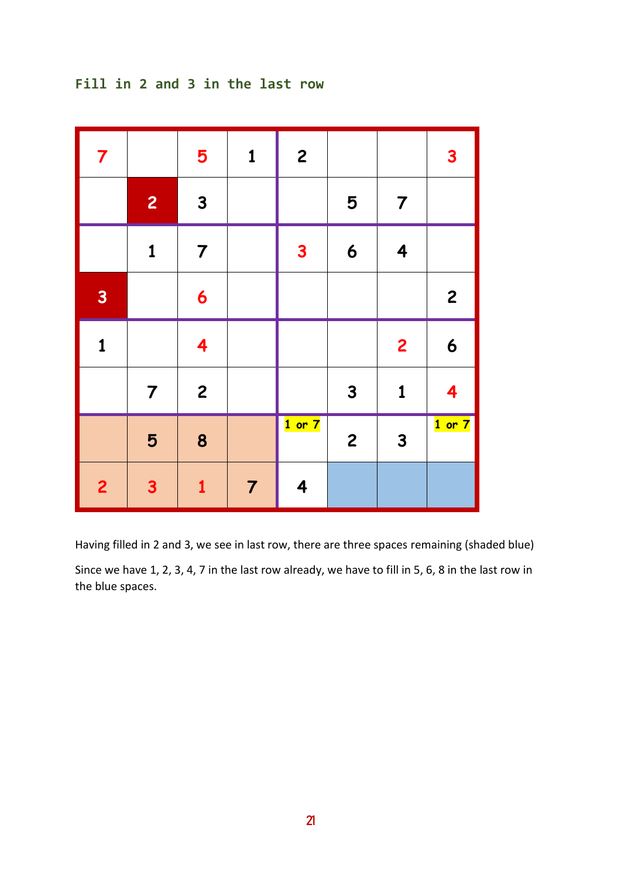# **Fill in 2 and 3 in the last row**

| $\overline{7}$          |                | 5                       | $\mathbf{1}$   | $\overline{\mathbf{c}}$ |                  |                         | $\mathbf{3}$            |
|-------------------------|----------------|-------------------------|----------------|-------------------------|------------------|-------------------------|-------------------------|
|                         | $\overline{c}$ | $\mathbf{3}$            |                |                         | 5                | $\overline{7}$          |                         |
|                         | $\mathbf 1$    | $\overline{7}$          |                | $\overline{\mathbf{3}}$ | $\boldsymbol{6}$ | $\overline{\mathbf{4}}$ |                         |
| $\overline{\mathbf{3}}$ |                | $\boldsymbol{6}$        |                |                         |                  |                         | $\overline{c}$          |
| $\mathbf{1}$            |                | $\overline{\mathbf{4}}$ |                |                         |                  | $\overline{c}$          | $\boldsymbol{6}$        |
|                         | $\overline{7}$ | $\overline{\mathbf{c}}$ |                |                         | $\mathbf{3}$     | $\mathbf{1}$            | $\overline{\mathbf{4}}$ |
|                         | 5              | 8                       |                | $1$ or $7$              | $\overline{c}$   | $\mathbf{3}$            | $1$ or $7$              |
| $\overline{2}$          | $\mathbf{3}$   | $\mathbf{1}$            | $\overline{7}$ | $\overline{\mathbf{4}}$ |                  |                         |                         |

Having filled in 2 and 3, we see in last row, there are three spaces remaining (shaded blue)

Since we have 1, 2, 3, 4, 7 in the last row already, we have to fill in 5, 6, 8 in the last row in the blue spaces.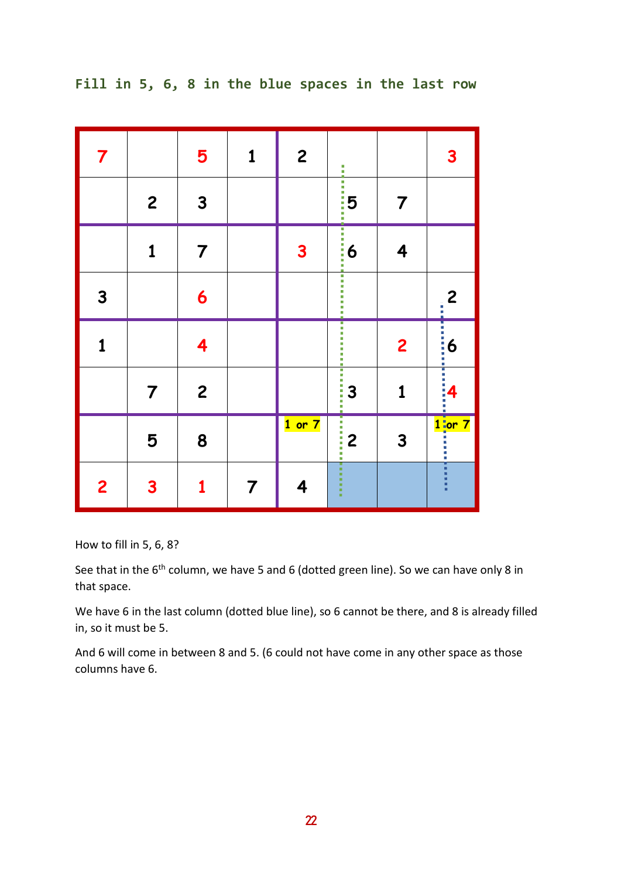| $\overline{\mathbf{7}}$ |                | 5              | $\mathbf{1}$   | $\overline{c}$ | li<br>H             |                         | $\mathbf{3}$                                                                                                                                                                                                                              |
|-------------------------|----------------|----------------|----------------|----------------|---------------------|-------------------------|-------------------------------------------------------------------------------------------------------------------------------------------------------------------------------------------------------------------------------------------|
|                         | $\overline{c}$ | $\mathbf{3}$   |                |                | $\frac{1}{15}$<br>ī | $\overline{7}$          |                                                                                                                                                                                                                                           |
|                         | $\mathbf 1$    | $\overline{7}$ |                | $\mathbf{3}$   |                     | 4                       |                                                                                                                                                                                                                                           |
| $\mathbf{3}$            |                | 6              |                |                |                     |                         | $\overline{c}$                                                                                                                                                                                                                            |
| 1                       |                | 4              |                |                |                     | $\overline{\mathbf{c}}$ | <b>Continued in the continued of the continued in the continued of the continued in the continued of the continued in the continued of the continued of the continued of the continued of the continued of the continued of the </b><br>6 |
|                         | $\overline{7}$ | $\overline{c}$ |                |                | $\frac{1}{3}$<br>Ī  | $\mathbf 1$             | 4                                                                                                                                                                                                                                         |
|                         | 5              | 8              |                | $1$ or $7$     | $\frac{1}{2}$<br>İ  | 3                       |                                                                                                                                                                                                                                           |
| $\overline{2}$          | 3              | 1              | $\overline{7}$ | 4              | ٠<br>×,<br>٠        |                         | i i i i i                                                                                                                                                                                                                                 |

**Fill in 5, 6, 8 in the blue spaces in the last row**

How to fill in 5, 6, 8?

See that in the 6<sup>th</sup> column, we have 5 and 6 (dotted green line). So we can have only 8 in that space.

We have 6 in the last column (dotted blue line), so 6 cannot be there, and 8 is already filled in, so it must be 5.

And 6 will come in between 8 and 5. (6 could not have come in any other space as those columns have 6.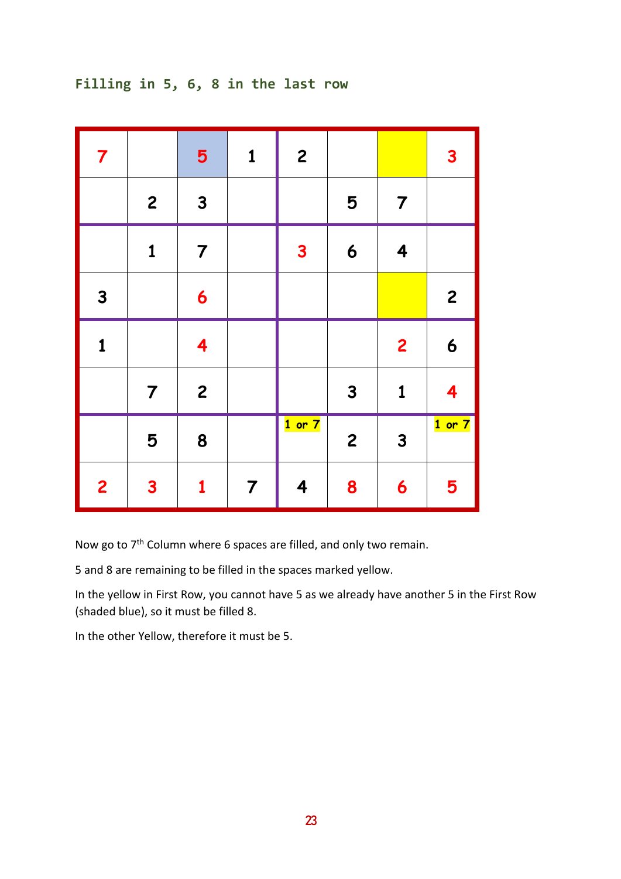# **Filling in 5, 6, 8 in the last row**

| $\overline{7}$ |                  | 5                       | $\mathbf{1}$   | $\overline{\mathbf{c}}$ |              |                         | $\mathbf{3}$            |
|----------------|------------------|-------------------------|----------------|-------------------------|--------------|-------------------------|-------------------------|
|                | $\boldsymbol{2}$ | $\mathbf{3}$            |                |                         | 5            | $\overline{7}$          |                         |
|                | $\mathbf 1$      | $\overline{7}$          |                | $\mathbf{3}$            | 6            | $\overline{\mathbf{4}}$ |                         |
| $\mathbf{3}$   |                  | 6                       |                |                         |              |                         | $\overline{c}$          |
| $\mathbf{1}$   |                  | $\overline{\mathbf{4}}$ |                |                         |              | $\overline{2}$          | 6                       |
|                | $\overline{7}$   | $\overline{c}$          |                |                         | $\mathbf{3}$ | $\mathbf{1}$            | $\overline{\mathbf{4}}$ |
|                | 5                | 8                       |                | $1$ or $7$              | $\mathbf{2}$ | $\mathbf{3}$            | $1$ or $7$              |
| $\overline{2}$ | $\mathbf{3}$     | $\mathbf 1$             | $\overline{7}$ | 4                       | 8            | 6                       | 5                       |

Now go to 7<sup>th</sup> Column where 6 spaces are filled, and only two remain.

5 and 8 are remaining to be filled in the spaces marked yellow.

In the yellow in First Row, you cannot have 5 as we already have another 5 in the First Row (shaded blue), so it must be filled 8.

In the other Yellow, therefore it must be 5.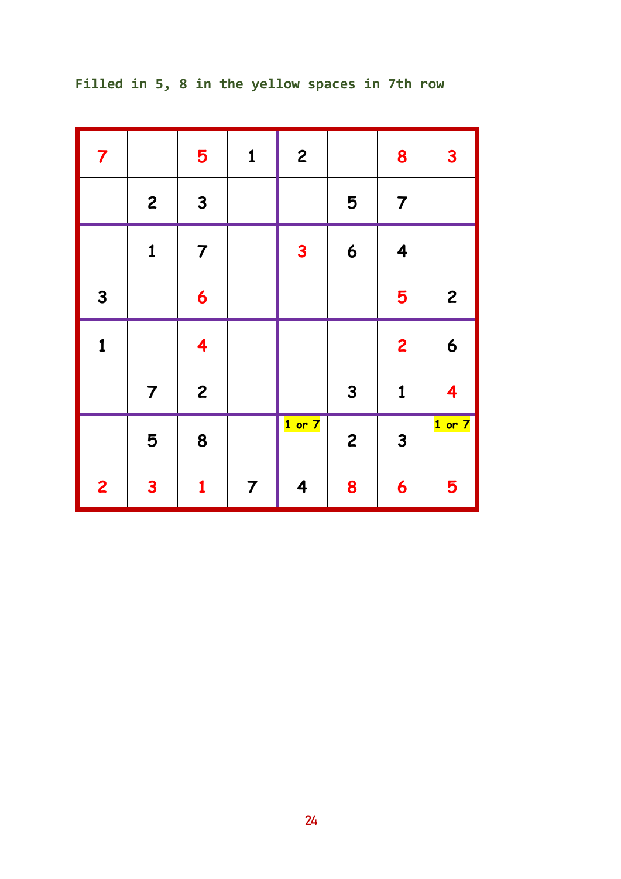| $\overline{\mathbf{7}}$ |                | 5                       | $\mathbf{1}$   | $\mathbf{2}$ |                | 8                       | $\mathbf{3}$ |
|-------------------------|----------------|-------------------------|----------------|--------------|----------------|-------------------------|--------------|
|                         | $\mathbf{2}$   | $\mathbf{3}$            |                |              | 5              | $\overline{7}$          |              |
|                         | $\mathbf{1}$   | $\overline{7}$          |                | 3            | 6              | $\overline{\mathbf{4}}$ |              |
| $\mathbf{3}$            |                | 6                       |                |              |                | 5                       | $\mathbf{2}$ |
| $\mathbf{1}$            |                | $\overline{\mathbf{4}}$ |                |              |                | $\overline{\mathbf{c}}$ | 6            |
|                         | $\overline{7}$ | $\overline{c}$          |                |              | $\mathbf{3}$   | $\mathbf 1$             | 4            |
|                         | 5              | 8                       |                | $1$ or $7$   | $\overline{c}$ | $\mathbf{3}$            | $1$ or $7$   |
| $\overline{\mathbf{c}}$ | $\mathbf{3}$   | 1                       | $\overline{7}$ | 4            | 8              | 6                       | 5            |

**Filled in 5, 8 in the yellow spaces in 7th row**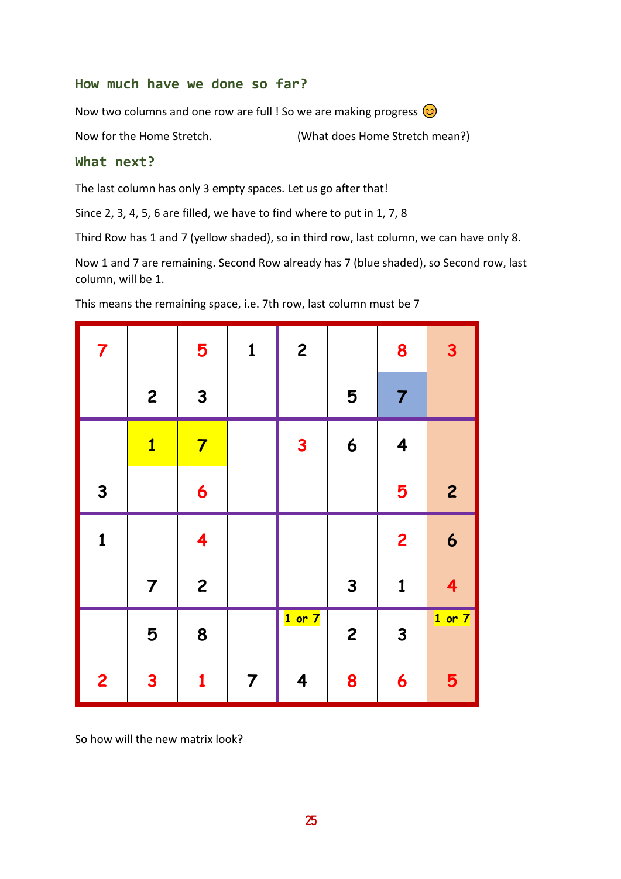#### **How much have we done so far?**

Now two columns and one row are full ! So we are making progress  $\odot$ 

Now for the Home Stretch. (What does Home Stretch mean?)

#### **What next?**

The last column has only 3 empty spaces. Let us go after that!

Since 2, 3, 4, 5, 6 are filled, we have to find where to put in 1, 7, 8

Third Row has 1 and 7 (yellow shaded), so in third row, last column, we can have only 8.

Now 1 and 7 are remaining. Second Row already has 7 (blue shaded), so Second row, last column, will be 1.

| $\overline{\mathbf{7}}$ |                         | 5                       | $\mathbf{1}$   | $\overline{c}$ |                | 8              | $\mathbf{3}$            |
|-------------------------|-------------------------|-------------------------|----------------|----------------|----------------|----------------|-------------------------|
|                         | $\mathbf{2}$            | $\mathbf{3}$            |                |                | 5              | $\overline{7}$ |                         |
|                         | $\overline{\mathbf{1}}$ | $\overline{\mathbf{7}}$ |                | $\mathbf{3}$   | 6              | 4              |                         |
| $\mathbf{3}$            |                         | $\boldsymbol{6}$        |                |                |                | 5              | $\overline{c}$          |
| $\mathbf{1}$            |                         | $\overline{\mathbf{4}}$ |                |                |                | $\overline{2}$ | $\boldsymbol{6}$        |
|                         | $\overline{7}$          | $\overline{c}$          |                |                | $\mathbf{3}$   | $\mathbf 1$    | $\overline{\mathbf{4}}$ |
|                         | 5                       | 8                       |                | $1$ or $7$     | $\overline{c}$ | $\mathbf{3}$   | $1$ or $7$              |
| $\overline{2}$          | $\mathbf{3}$            | $\mathbf{1}$            | $\overline{7}$ | 4              | 8              | 6              | 5                       |

This means the remaining space, i.e. 7th row, last column must be 7

So how will the new matrix look?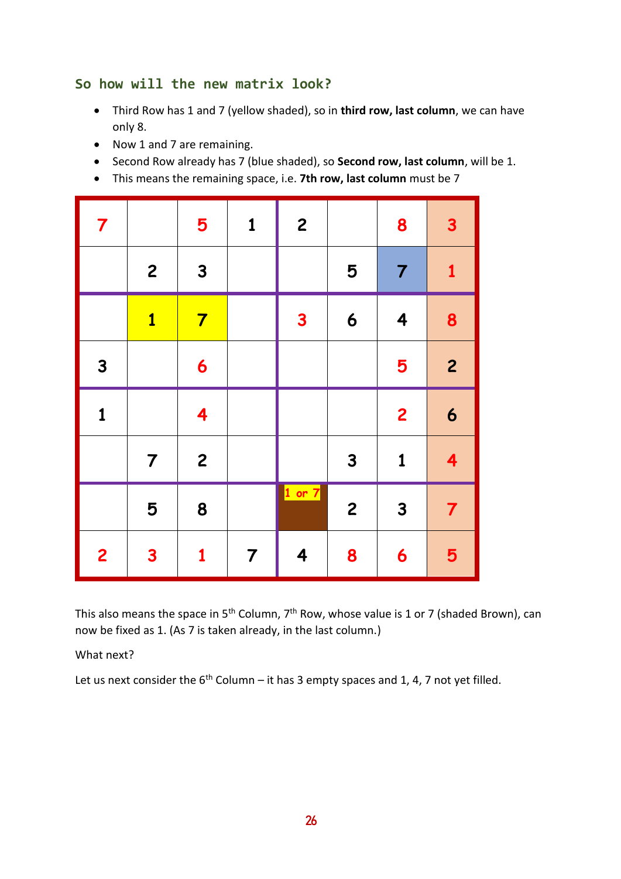#### **So how will the new matrix look?**

- Third Row has 1 and 7 (yellow shaded), so in **third row, last column**, we can have only 8.
- Now 1 and 7 are remaining.
- Second Row already has 7 (blue shaded), so **Second row, last column**, will be 1.
- This means the remaining space, i.e. **7th row, last column** must be 7

| $\overline{7}$          |                         | 5                       | $\mathbf{1}$   | $\overline{\mathbf{c}}$ |                | 8                       | $\overline{\mathbf{3}}$ |
|-------------------------|-------------------------|-------------------------|----------------|-------------------------|----------------|-------------------------|-------------------------|
|                         | $\mathbf{2}$            | $\mathbf{3}$            |                |                         | 5              | $\overline{7}$          | $\mathbf{1}$            |
|                         | $\overline{\mathbf{1}}$ | $\overline{\mathbf{7}}$ |                | $\mathbf{3}$            | 6              | $\overline{\mathbf{4}}$ | 8                       |
| $\mathbf{3}$            |                         | 6                       |                |                         |                | 5                       | $\overline{2}$          |
| $\mathbf{1}$            |                         | $\overline{\mathbf{4}}$ |                |                         |                | $\overline{\mathbf{c}}$ | $\boldsymbol{6}$        |
|                         | $\overline{7}$          | $\overline{c}$          |                |                         | $\mathbf{3}$   | $\mathbf{1}$            | 4                       |
|                         | 5                       | 8                       |                | $1$ or $7$              | $\overline{c}$ | $\mathbf{3}$            | $\overline{7}$          |
| $\overline{\mathbf{c}}$ | $\overline{\mathbf{3}}$ | $\mathbf{1}$            | $\overline{7}$ | 4                       | 8              | 6                       | 5                       |

This also means the space in 5<sup>th</sup> Column, 7<sup>th</sup> Row, whose value is 1 or 7 (shaded Brown), can now be fixed as 1. (As 7 is taken already, in the last column.)

What next?

Let us next consider the  $6^{th}$  Column – it has 3 empty spaces and 1, 4, 7 not yet filled.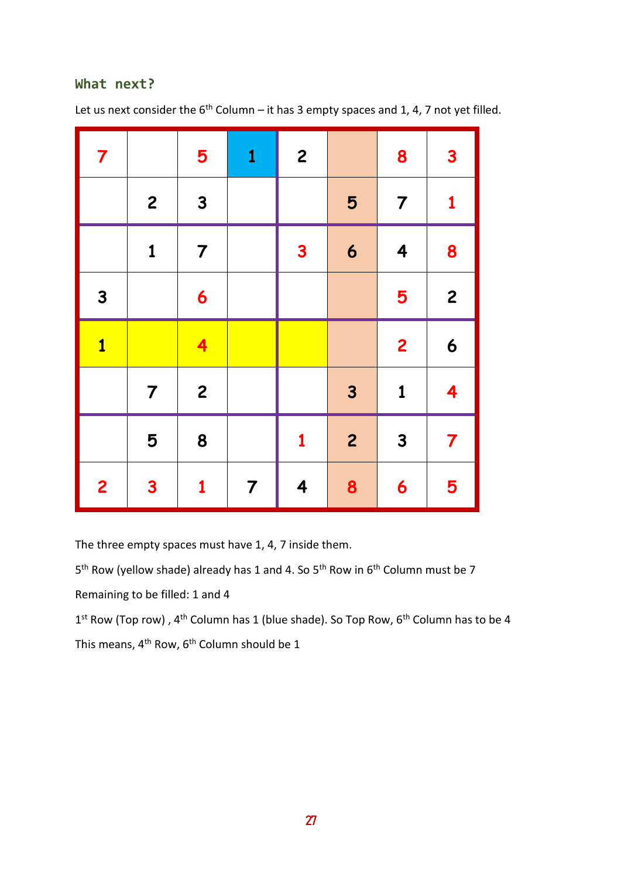#### **What next?**

Let us next consider the  $6<sup>th</sup>$  Column – it has 3 empty spaces and 1, 4, 7 not yet filled.

| $\overline{7}$          |                         | 5                       | $\mathbf{1}$   | $\overline{c}$ |                         | 8                       | $\overline{\mathbf{3}}$ |
|-------------------------|-------------------------|-------------------------|----------------|----------------|-------------------------|-------------------------|-------------------------|
|                         | $\overline{\mathbf{c}}$ | $\mathbf{3}$            |                |                | 5                       | $\overline{7}$          | $\mathbf{1}$            |
|                         | $\mathbf{1}$            | $\overline{7}$          |                | $\mathbf{3}$   | $\boldsymbol{6}$        | 4                       | 8                       |
| $\mathbf{3}$            |                         | $\boldsymbol{6}$        |                |                |                         | 5                       | $\overline{c}$          |
| $\overline{\mathbf{1}}$ |                         | $\overline{\mathbf{4}}$ |                |                |                         | $\overline{\mathbf{c}}$ | $\boldsymbol{6}$        |
|                         | $\overline{7}$          | $\overline{\mathbf{c}}$ |                |                | $\overline{\mathbf{3}}$ | $\mathbf{1}$            | $\overline{\mathbf{4}}$ |
|                         | 5                       | 8                       |                | $\mathbf{1}$   | $\overline{c}$          | $\overline{\mathbf{3}}$ | $\overline{7}$          |
| $\overline{2}$          | $\overline{\mathbf{3}}$ | $\mathbf{1}$            | $\overline{7}$ | 4              | 8                       | 6                       | 5                       |

The three empty spaces must have 1, 4, 7 inside them.

5<sup>th</sup> Row (yellow shade) already has 1 and 4. So 5<sup>th</sup> Row in 6<sup>th</sup> Column must be 7

Remaining to be filled: 1 and 4

1<sup>st</sup> Row (Top row), 4<sup>th</sup> Column has 1 (blue shade). So Top Row, 6<sup>th</sup> Column has to be 4 This means, 4<sup>th</sup> Row, 6<sup>th</sup> Column should be 1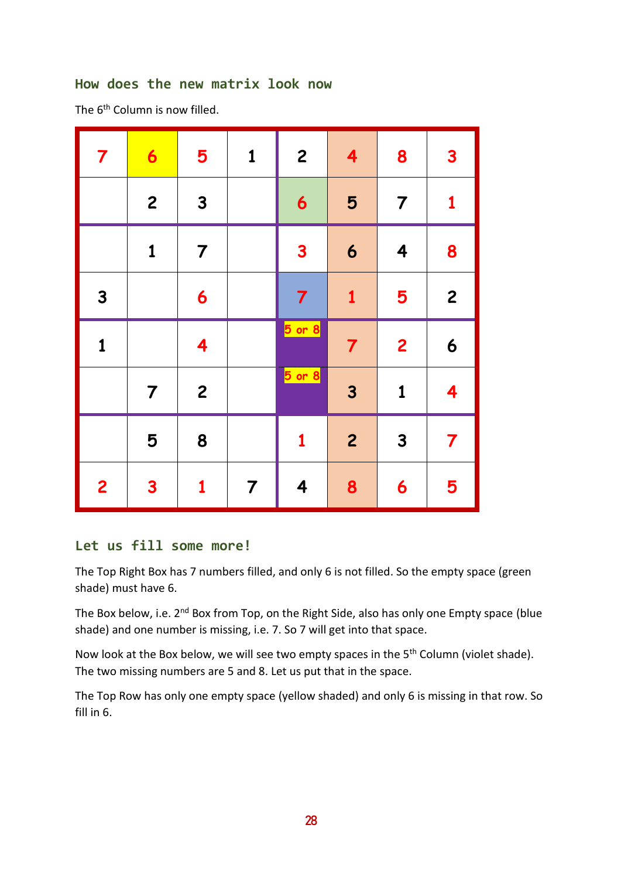#### **How does the new matrix look now**

The 6<sup>th</sup> Column is now filled.

| $\overline{\mathbf{7}}$ | $\bullet$               | 5                       | $\mathbf{1}$   | $\mathbf{2}$        | $\overline{\mathbf{4}}$ | 8                       | $\mathbf{3}$            |
|-------------------------|-------------------------|-------------------------|----------------|---------------------|-------------------------|-------------------------|-------------------------|
|                         | $\overline{c}$          | $\mathbf{3}$            |                | 6                   | 5                       | $\overline{7}$          | $\mathbf{1}$            |
|                         | $\mathbf{1}$            | $\overline{7}$          |                | 3                   | 6                       | $\overline{\mathbf{4}}$ | 8                       |
| $\mathbf{3}$            |                         | 6                       |                | 7                   | $\mathbf{1}$            | 5                       | $\overline{\mathbf{c}}$ |
| $\mathbf{1}$            |                         | $\overline{\mathbf{4}}$ |                | <b>5</b> or 8       | $\overline{7}$          | $\overline{\mathbf{c}}$ | 6                       |
|                         | $\overline{7}$          | $\overline{c}$          |                | <mark>5 or 8</mark> | $\overline{\mathbf{3}}$ | $\mathbf{1}$            | $\overline{\mathbf{4}}$ |
|                         | 5                       | 8                       |                | $\mathbf{1}$        | $\overline{c}$          | $\mathbf{3}$            | $\overline{\mathbf{7}}$ |
| $\overline{2}$          | $\overline{\mathbf{3}}$ | $\mathbf{1}$            | $\overline{7}$ | 4                   | 8                       | 6                       | 5                       |

#### **Let us fill some more!**

The Top Right Box has 7 numbers filled, and only 6 is not filled. So the empty space (green shade) must have 6.

The Box below, i.e. 2<sup>nd</sup> Box from Top, on the Right Side, also has only one Empty space (blue shade) and one number is missing, i.e. 7. So 7 will get into that space.

Now look at the Box below, we will see two empty spaces in the 5<sup>th</sup> Column (violet shade). The two missing numbers are 5 and 8. Let us put that in the space.

The Top Row has only one empty space (yellow shaded) and only 6 is missing in that row. So fill in 6.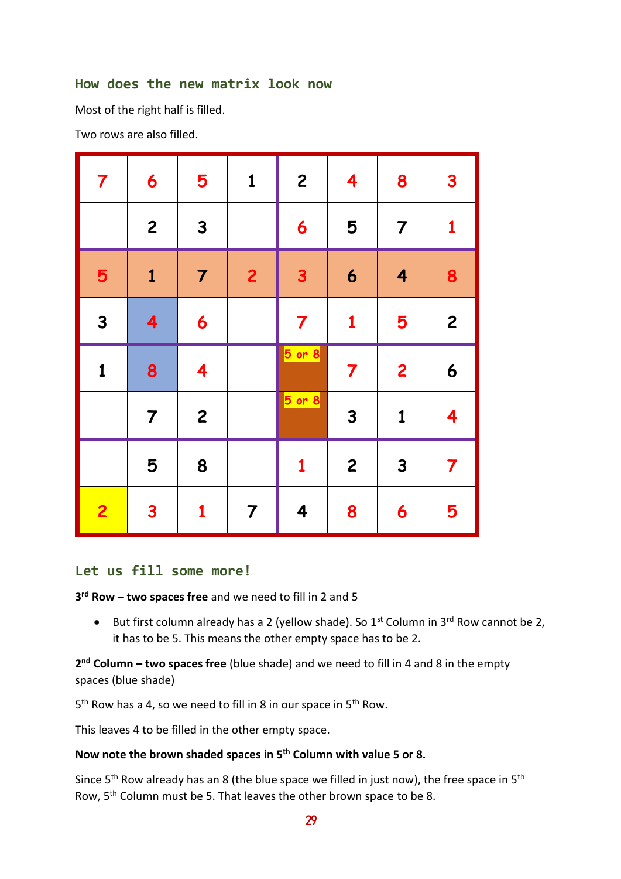#### **How does the new matrix look now**

Most of the right half is filled.

Two rows are also filled.

| $\overline{\mathbf{7}}$ | 6                       | 5                       | $\mathbf{1}$   | $\boldsymbol{2}$        | 4                       | 8                       | $\overline{\mathbf{3}}$ |
|-------------------------|-------------------------|-------------------------|----------------|-------------------------|-------------------------|-------------------------|-------------------------|
|                         | $\overline{\mathbf{c}}$ | $\mathbf{3}$            |                | 6                       | 5                       | $\overline{7}$          | $\mathbf{1}$            |
| 5                       | $\mathbf{1}$            | $\overline{7}$          | $\overline{2}$ | $\mathbf{3}$            | 6                       | $\overline{\mathbf{4}}$ | 8                       |
| $\mathbf{3}$            | 4                       | 6                       |                | $\overline{\mathbf{7}}$ | $\mathbf{1}$            | 5                       | $\mathbf{2}$            |
|                         |                         |                         |                |                         |                         |                         |                         |
| $\mathbf{1}$            | 8                       | $\overline{\mathbf{4}}$ |                | $5$ or $8$              | $\overline{\mathbf{7}}$ | $\overline{2}$          | $\boldsymbol{6}$        |
|                         | $\overline{7}$          | $\overline{c}$          |                | $5$ or $8$              | 3                       | $\mathbf{1}$            | $\overline{\mathbf{4}}$ |
|                         | 5                       | 8                       |                | $\mathbf{1}$            | $\overline{c}$          | $\mathbf{3}$            | $\overline{\mathbf{7}}$ |

#### **Let us fill some more!**

**3 rd Row – two spaces free** and we need to fill in 2 and 5

• But first column already has a 2 (yellow shade). So  $1^{st}$  Column in  $3^{rd}$  Row cannot be 2, it has to be 5. This means the other empty space has to be 2.

**2 nd Column – two spaces free** (blue shade) and we need to fill in 4 and 8 in the empty spaces (blue shade)

5<sup>th</sup> Row has a 4, so we need to fill in 8 in our space in 5<sup>th</sup> Row.

This leaves 4 to be filled in the other empty space.

#### **Now note the brown shaded spaces in 5th Column with value 5 or 8.**

Since  $5<sup>th</sup>$  Row already has an 8 (the blue space we filled in just now), the free space in  $5<sup>th</sup>$ Row, 5th Column must be 5. That leaves the other brown space to be 8.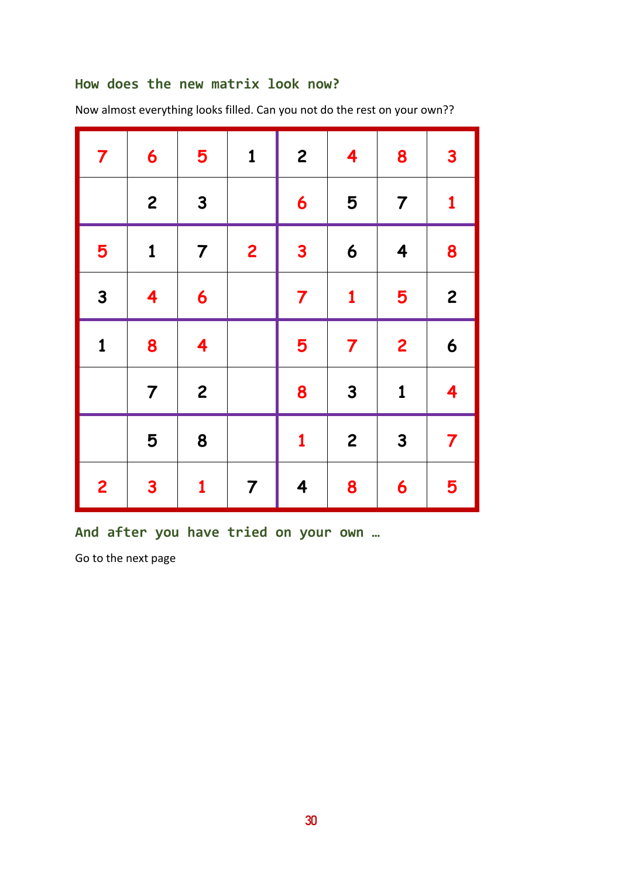## **How does the new matrix look now?**

| $\overline{\mathbf{7}}$ | 6                       | 5                       | $\mathbf{1}$   | $\overline{c}$          | $\overline{\mathbf{4}}$ | 8                       | $\mathbf{3}$            |
|-------------------------|-------------------------|-------------------------|----------------|-------------------------|-------------------------|-------------------------|-------------------------|
|                         | $\overline{c}$          | $\mathbf{3}$            |                | 6                       | 5                       | $\overline{7}$          | $\mathbf{1}$            |
| 5                       | $\mathbf{1}$            | $\overline{7}$          | $\overline{2}$ | $\overline{\mathbf{3}}$ | $\boldsymbol{6}$        | $\overline{\mathbf{4}}$ | 8                       |
| $\overline{\mathbf{3}}$ | $\overline{\mathbf{4}}$ | 6                       |                | $\overline{7}$          | $\mathbf{1}$            | 5                       | $\overline{c}$          |
| $\mathbf{1}$            | 8                       | $\overline{\mathbf{4}}$ |                | 5                       | $\overline{7}$          | $\overline{\mathbf{c}}$ | 6                       |
|                         | $\overline{7}$          | $\overline{c}$          |                | 8                       | $\mathbf{3}$            | $\mathbf{1}$            | $\overline{\mathbf{4}}$ |
|                         | 5                       | 8                       |                | $\mathbf{1}$            | $\overline{c}$          | $\mathbf{3}$            | $\overline{\mathbf{7}}$ |
| $\overline{2}$          | $\mathbf{3}$            | $\mathbf{1}$            | $\overline{7}$ | $\overline{\mathbf{4}}$ | 8                       | 6                       | 5                       |

Now almost everything looks filled. Can you not do the rest on your own??

**And after you have tried on your own …**

Go to the next page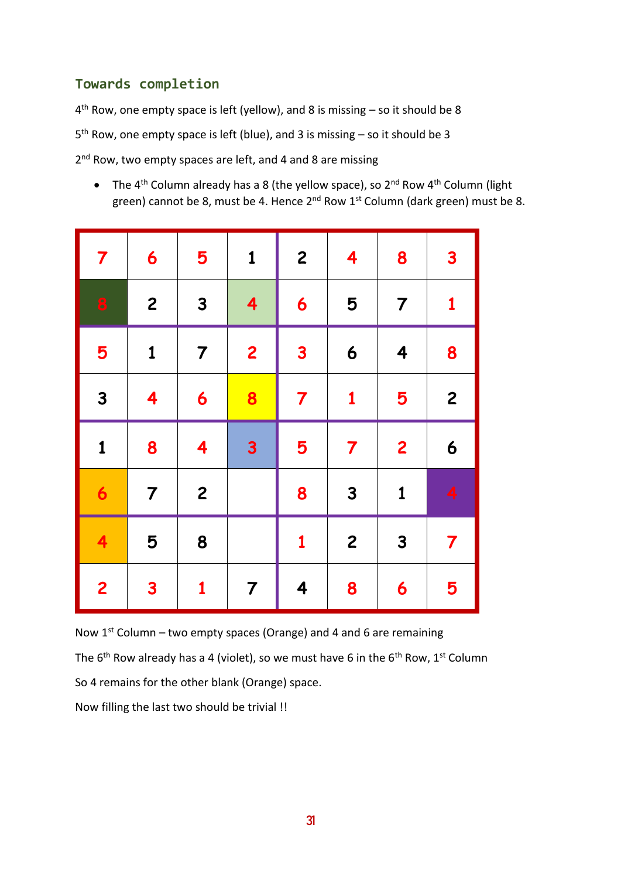# **Towards completion**

4<sup>th</sup> Row, one empty space is left (yellow), and 8 is missing – so it should be 8 5<sup>th</sup> Row, one empty space is left (blue), and 3 is missing – so it should be 3 2<sup>nd</sup> Row, two empty spaces are left, and 4 and 8 are missing

• The 4<sup>th</sup> Column already has a 8 (the yellow space), so 2<sup>nd</sup> Row 4<sup>th</sup> Column (light green) cannot be 8, must be 4. Hence 2<sup>nd</sup> Row 1<sup>st</sup> Column (dark green) must be 8.

| $\overline{\mathbf{7}}$ | 6                       | 5                       | $\mathbf{1}$            | $\overline{c}$          | $\overline{\mathbf{4}}$ | 8                       | $\mathbf{3}$            |
|-------------------------|-------------------------|-------------------------|-------------------------|-------------------------|-------------------------|-------------------------|-------------------------|
| 8                       | $\mathbf{2}$            | $\mathbf{3}$            | $\overline{\mathbf{4}}$ | 6                       | 5                       | $\overline{7}$          | $\mathbf{1}$            |
| 5                       | $\mathbf{1}$            | $\overline{7}$          | $\overline{2}$          | $\mathbf{3}$            | 6                       | $\overline{\mathbf{4}}$ | 8                       |
| $\overline{\mathbf{3}}$ | $\overline{\mathbf{4}}$ | 6                       | 8                       | $\overline{7}$          | $\mathbf{1}$            | 5                       | $\overline{c}$          |
| $\mathbf{1}$            | 8                       | $\overline{\mathbf{4}}$ | $\mathbf{3}$            | 5                       | $\overline{\mathbf{7}}$ | $\overline{2}$          | 6                       |
| $\mathbf 6$             | $\overline{7}$          | $\overline{\mathbf{c}}$ |                         | 8                       | $\mathbf{3}$            | $\mathbf{1}$            | 4                       |
| $\overline{\mathbf{4}}$ | 5                       | 8                       |                         | $\mathbf{1}$            | $\overline{c}$          | $\mathbf{3}$            | $\overline{\mathbf{7}}$ |
| $\overline{2}$          | $\mathbf{3}$            | $\mathbf{1}$            | $\overline{7}$          | $\overline{\mathbf{4}}$ | 8                       | 6                       | 5                       |

Now  $1^{st}$  Column – two empty spaces (Orange) and 4 and 6 are remaining The  $6<sup>th</sup>$  Row already has a 4 (violet), so we must have 6 in the  $6<sup>th</sup>$  Row, 1<sup>st</sup> Column So 4 remains for the other blank (Orange) space.

Now filling the last two should be trivial !!